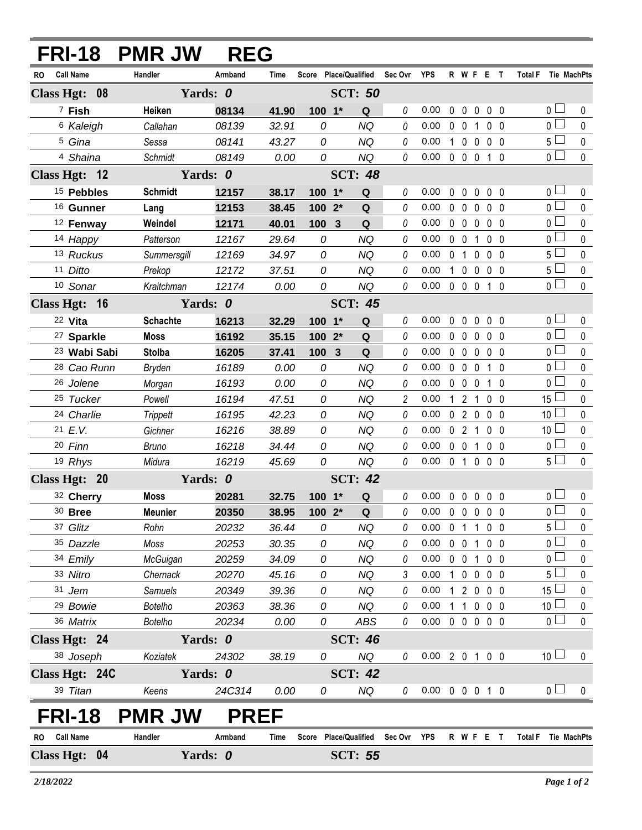| FRI-18 PMR JW                 |                 | <b>REG</b>  |                |                |                                   |                |                            |              |                   |                |                |                     |                       |              |
|-------------------------------|-----------------|-------------|----------------|----------------|-----------------------------------|----------------|----------------------------|--------------|-------------------|----------------|----------------|---------------------|-----------------------|--------------|
| <b>Call Name</b><br><b>RO</b> | Handler         | Armband     | Time           |                | Score Place/Qualified Sec Ovr YPS |                |                            |              |                   |                | R W F E T      | Total F Tie MachPts |                       |              |
| Class Hgt: 08                 |                 | Yards: 0    | <b>SCT: 50</b> |                |                                   |                |                            |              |                   |                |                |                     |                       |              |
| <sup>7</sup> Fish             | Heiken          | 08134       | 41.90          | 100 1*         | Q                                 | 0              | 0.00                       | 0            | $\mathbf 0$       | 0              | 0 <sub>0</sub> |                     | 0 <sup>1</sup>        | $\pmb{0}$    |
| <sup>6</sup> Kaleigh          | Callahan        | 08139       | 32.91          | 0              | <b>NQ</b>                         | 0              | 0.00                       |              | $0\quad 0$        | $\mathbf{1}$   | 0 <sub>0</sub> |                     | $\overline{0}$        | $\mathbf 0$  |
| <sup>5</sup> Gina             | Sessa           | 08141       | 43.27          | 0              | <b>NQ</b>                         | 0              | 0.00                       |              | $1\quad 0$        | $\mathbf 0$    | $0\quad 0$     |                     | 5 <sub>1</sub>        | $\pmb{0}$    |
| 4 Shaina                      | Schmidt         | 08149       | 0.00           | 0              | <b>NQ</b>                         | 0              | 0.00                       |              | $0\quad 0\quad 0$ |                | $1\quad0$      |                     | $\overline{0}$        | $\mathbf{0}$ |
| Class Hgt: 12                 | Yards: 0        |             |                |                | <b>SCT: 48</b>                    |                |                            |              |                   |                |                |                     |                       |              |
| <sup>15</sup> Pebbles         | <b>Schmidt</b>  | 12157       | 38.17          | $100 - 1*$     | Q                                 | 0              | 0.00                       | $\mathbf{0}$ | $\mathbf{0}$      | $\mathbf{0}$   | $0\quad 0$     |                     | $\overline{0}$        | 0            |
| 16 Gunner                     | Lang            | 12153       | 38.45          | $1002*$        | Q                                 | 0              | 0.00                       |              | $0\quad 0$        | 0              | 0 <sub>0</sub> |                     | $\overline{0}$        | $\pmb{0}$    |
| <sup>12</sup> Fenway          | Weindel         | 12171       | 40.01          | 100            | Q<br>$\mathbf{3}$                 | 0              | 0.00                       |              | $0\quad 0$        | $\mathbf 0$    | 0 <sub>0</sub> |                     | $\overline{0}$        | $\pmb{0}$    |
| 14 Happy                      | Patterson       | 12167       | 29.64          | 0              | <b>NQ</b>                         | 0              | 0.00                       |              | $0\quad 0$        | $\mathbf{1}$   | 0 <sub>0</sub> |                     | 0 <sub>1</sub>        | $\mathbf 0$  |
| 13 Ruckus                     | Summersgill     | 12169       | 34.97          | 0              | <b>NQ</b>                         | 0              | 0.00                       |              | 0 <sub>1</sub>    | $\mathbf 0$    | 0 <sub>0</sub> |                     | $5\Box$               | $\mathbf 0$  |
| 11 Ditto                      | Prekop          | 12172       | 37.51          | 0              | <b>NQ</b>                         | 0              | 0.00                       |              | $1\quad 0$        | $\mathbf 0$    | $0\quad 0$     |                     | $5\Box$               | $\pmb{0}$    |
| 10 Sonar                      | Kraitchman      | 12174       | 0.00           | 0              | <b>NQ</b>                         | 0              | 0.00                       |              | $0\quad 0\quad 0$ |                | $1\quad0$      |                     | $\overline{0}$        | $\mathbf 0$  |
| Class Hgt: 16                 | Yards: 0        |             | <b>SCT: 45</b> |                |                                   |                |                            |              |                   |                |                |                     |                       |              |
| 22 Vita                       | <b>Schachte</b> | 16213       | 32.29          | $100 - 1*$     | Q                                 | 0              | 0.00                       |              | $0\quad 0$        | $\mathbf 0$    | $0\quad 0$     |                     | 0 <sub>1</sub>        | $\pmb{0}$    |
| <sup>27</sup> Sparkle         | <b>Moss</b>     | 16192       | 35.15          | 100 2*         | Q                                 | 0              | 0.00                       |              | $0\quad 0$        | $\mathbf 0$    | 0 <sub>0</sub> |                     | $\overline{0}$ $\Box$ | $\mathbf 0$  |
| <sup>23</sup> Wabi Sabi       | <b>Stolba</b>   | 16205       | 37.41          | 100 3          | Q                                 | 0              | 0.00                       |              | $0\quad 0$        | 0              | 0 <sub>0</sub> |                     | $\overline{0}$        | $\mathbf 0$  |
| <sup>28</sup> Cao Runn        | Bryden          | 16189       | 0.00           | 0              | <b>NQ</b>                         | 0              | 0.00                       |              | $0\quad 0$        | $\mathbf 0$    | $1\quad0$      |                     | 0 <sup>2</sup>        | $\mathbf 0$  |
| 26 Jolene                     | Morgan          | 16193       | 0.00           | 0              | <b>NQ</b>                         | 0              | 0.00                       |              | $0\quad 0$        | 0              | $1\quad0$      |                     | $\overline{0}$        | $\pmb{0}$    |
| 25 Tucker                     | Powell          | 16194       | 47.51          | 0              | <b>NQ</b>                         | $\overline{c}$ | 0.00                       |              | $1\quad2$         | $\overline{1}$ | 0 <sub>0</sub> |                     | $15\perp$             | $\pmb{0}$    |
| 24 Charlie                    | <b>Trippett</b> | 16195       | 42.23          | 0              | <b>NQ</b>                         | 0              | 0.00                       |              | 0 <sub>2</sub>    | $\mathbf 0$    | 0 <sub>0</sub> |                     | 10 <sup>1</sup>       | $\mathbf 0$  |
| 21 E.V.                       | Gichner         | 16216       | 38.89          | 0              | <b>NQ</b>                         | 0              | 0.00                       |              | 0 <sub>2</sub>    | $\mathbf{1}$   | 0 <sub>0</sub> |                     | 10 <sup>1</sup>       | $\pmb{0}$    |
| 20 Finn                       | <b>Bruno</b>    | 16218       | 34.44          | 0              | NQ                                | 0              | 0.00                       |              | $0\quad 0$        | $\mathbf{1}$   | 0 <sub>0</sub> |                     | $0\square$            | $\pmb{0}$    |
| 19 Rhys                       | Midura          | 16219       | 45.69          | 0              | <b>NQ</b>                         | 0              | 0.00                       |              | $0$ 1 $0$         |                | 0 <sub>0</sub> |                     | $5\Box$               | $\mathbf{0}$ |
| Class Hgt: 20                 | Yards: 0        |             |                | <b>SCT: 42</b> |                                   |                |                            |              |                   |                |                |                     |                       |              |
| 32 Cherry                     | <b>Moss</b>     | 20281       | 32.75          | $100 - 1*$     | ${\bf Q}$                         | 0              | 0.00                       |              |                   |                | 00000          |                     | 0 <sub>1</sub>        | $\pmb{0}$    |
| $30$ Bree                     | <b>Meunier</b>  | 20350       | 38.95          | $1002*$        | Q                                 | 0              | 0.00 0 0 0 0 0             |              |                   |                |                |                     | $\overline{0}$        | $\mathbf 0$  |
| 37 Glitz                      | Rohn            | 20232       | 36.44          | 0              | NQ                                | 0              | $0.00\,$                   |              |                   |                | 0 1 1 0 0      |                     | $5 \Box$              | 0            |
| 35 Dazzle                     | Moss            | 20253       | 30.35          | 0              | <b>NQ</b>                         | 0              | 0.00                       |              | $0 \t0 \t1$       |                | $0\quad 0$     |                     | 0 <sub>0</sub>        | 0            |
| 34 Emily                      | McGuigan        | 20259       | 34.09          | 0              | <b>NQ</b>                         | 0              | 0.00                       |              |                   |                | 0 0 1 0 0      |                     | 0 <sub>1</sub>        | 0            |
| 33 Nitro                      | Chernack        | 20270       | 45.16          | 0              | <b>NQ</b>                         | 3              | 0.00                       |              |                   |                | 1 0 0 0 0      |                     | 5 ∟                   | 0            |
| 31 Jem                        | Samuels         | 20349       | 39.36          | 0              | <b>NQ</b>                         | 0              | 0.00                       |              |                   |                | 1 2 0 0 0      |                     | 15 <sup>1</sup>       | $\mathbf 0$  |
| <sup>29</sup> Bowie           | <b>Botelho</b>  | 20363       | 38.36          | 0              | NQ                                | 0              | 0.00                       |              |                   |                | 1 1 0 0 0      |                     | 10 <sup>2</sup>       | 0            |
| 36 Matrix                     | <b>Botelho</b>  | 20234       | 0.00           | 0              | ABS                               | 0              | $0.00 \t0 \t0 \t0 \t0 \t0$ |              |                   |                |                |                     | 0 <sup>1</sup>        | $\pmb{0}$    |
| Class Hgt: 24                 |                 | Yards: 0    |                | <b>SCT: 46</b> |                                   |                |                            |              |                   |                |                |                     |                       |              |
| 38 Joseph                     | Koziatek        | 24302       | 38.19          | 0              | NQ                                | 0              | 0.00 2 0 1 0 0             |              |                   |                |                |                     | 10 <sup>1</sup>       | 0            |
| Class Hgt: 24C                |                 | Yards: 0    |                |                | <b>SCT: 42</b>                    |                |                            |              |                   |                |                |                     |                       |              |
| 39 Titan                      | Keens           | 24C314      | 0.00           | 0              | NQ                                | 0              | 0.00 0 0 0 1 0             |              |                   |                |                |                     | 0 <sub>1</sub>        | 0            |
| <b>FRI-18</b>                 | <b>PMR JW</b>   | <b>PREF</b> |                |                |                                   |                |                            |              |                   |                |                |                     |                       |              |
| <b>Call Name</b><br>RO        | Handler         | Armband     | Time           |                | Score Place/Qualified             | Sec Ovr YPS    |                            |              |                   |                | R W F E T      | Total F Tie MachPts |                       |              |
| Class Hgt: 04                 | Yards: 0        |             |                |                | <b>SCT: 55</b>                    |                |                            |              |                   |                |                |                     |                       |              |